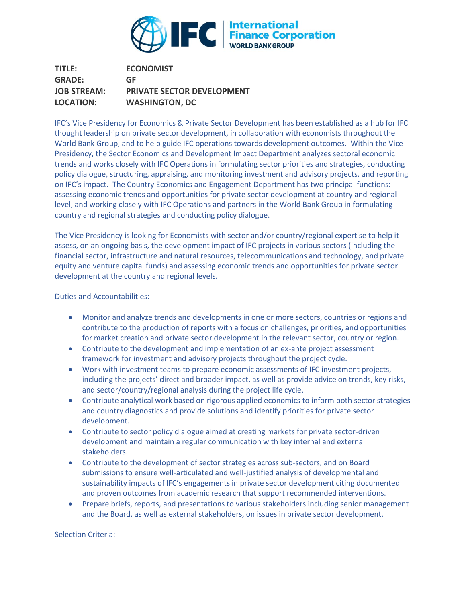

**TITLE: GRADE: ECONOMIST GF JOB STREAM: PRIVATE SECTOR DEVELOPMENT LOCATION: WASHINGTON, DC**

IFC's Vice Presidency for Economics & Private Sector Development has been established as a hub for IFC thought leadership on private sector development, in collaboration with economists throughout the World Bank Group, and to help guide IFC operations towards development outcomes. Within the Vice Presidency, the Sector Economics and Development Impact Department analyzes sectoral economic trends and works closely with IFC Operations in formulating sector priorities and strategies, conducting policy dialogue, structuring, appraising, and monitoring investment and advisory projects, and reporting on IFC's impact. The Country Economics and Engagement Department has two principal functions: assessing economic trends and opportunities for private sector development at country and regional level, and working closely with IFC Operations and partners in the World Bank Group in formulating country and regional strategies and conducting policy dialogue.

The Vice Presidency is looking for Economists with sector and/or country/regional expertise to help it assess, on an ongoing basis, the development impact of IFC projects in various sectors (including the financial sector, infrastructure and natural resources, telecommunications and technology, and private equity and venture capital funds) and assessing economic trends and opportunities for private sector development at the country and regional levels.

Duties and Accountabilities:

- Monitor and analyze trends and developments in one or more sectors, countries or regions and contribute to the production of reports with a focus on challenges, priorities, and opportunities for market creation and private sector development in the relevant sector, country or region.
- Contribute to the development and implementation of an ex-ante project assessment framework for investment and advisory projects throughout the project cycle.
- Work with investment teams to prepare economic assessments of IFC investment projects, including the projects' direct and broader impact, as well as provide advice on trends, key risks, and sector/country/regional analysis during the project life cycle.
- Contribute analytical work based on rigorous applied economics to inform both sector strategies and country diagnostics and provide solutions and identify priorities for private sector development.
- Contribute to sector policy dialogue aimed at creating markets for private sector-driven development and maintain a regular communication with key internal and external stakeholders.
- Contribute to the development of sector strategies across sub-sectors, and on Board submissions to ensure well-articulated and well-justified analysis of developmental and sustainability impacts of IFC's engagements in private sector development citing documented and proven outcomes from academic research that support recommended interventions.
- Prepare briefs, reports, and presentations to various stakeholders including senior management and the Board, as well as external stakeholders, on issues in private sector development.

Selection Criteria: